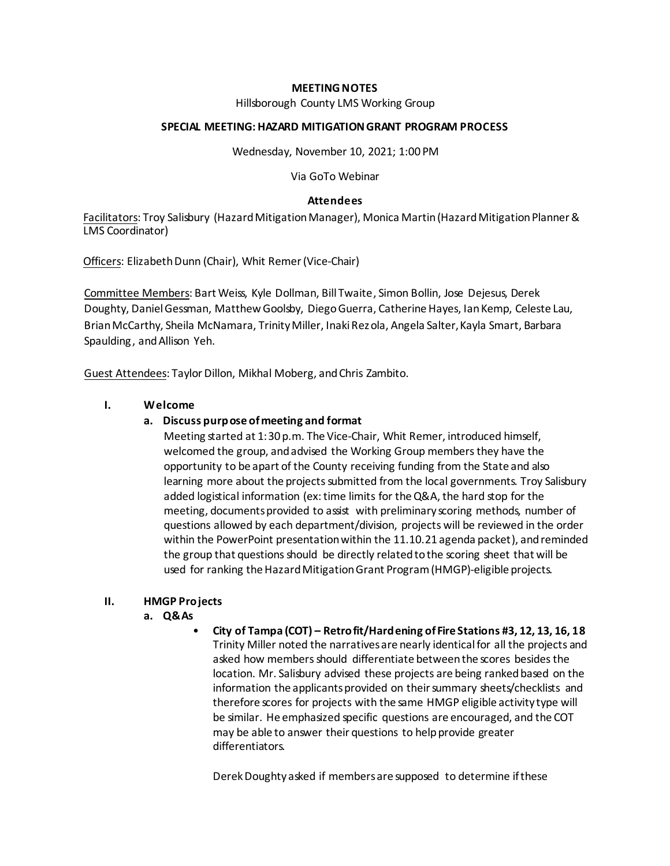## **MEETING NOTES**

Hillsborough County LMS Working Group

### **SPECIAL MEETING:HAZARD MITIGATIONGRANT PROGRAM PROCESS**

Wednesday, November 10, 2021; 1:00 PM

Via GoTo Webinar

### **Attendees**

Facilitators: Troy Salisbury (Hazard Mitigation Manager), Monica Martin (Hazard Mitigation Planner & LMS Coordinator)

Officers: Elizabeth Dunn (Chair), Whit Remer (Vice-Chair)

Committee Members: Bart Weiss, Kyle Dollman, Bill Twaite, Simon Bollin, Jose Dejesus, Derek Doughty, DanielGessman, MatthewGoolsby, DiegoGuerra, CatherineHayes, IanKemp, Celeste Lau, BrianMcCarthy, Sheila McNamara, TrinityMiller, InakiRezola, Angela Salter,Kayla Smart, Barbara Spaulding, andAllison Yeh.

Guest Attendees: Taylor Dillon, Mikhal Moberg, and Chris Zambito.

## **I. Welcome**

## **a. Discuss purpose ofmeeting and format**

Meeting started at 1:30 p.m. The Vice-Chair, Whit Remer, introduced himself, welcomed the group, and advised the Working Group members they have the opportunity to be apart of the County receiving funding from the State and also learning more about the projects submitted from the local governments. Troy Salisbury added logistical information (ex:time limits for theQ&A, the hard stop for the meeting, documents provided to assist with preliminary scoring methods, number of questions allowed by each department/division, projects will be reviewed in the order within the PowerPoint presentationwithin the 11.10.21 agenda packet), andreminded the group that questions should be directly related to the scoring sheet that will be used for ranking the Hazard Mitigation Grant Program (HMGP)-eligible projects.

#### **II. HMGP Projects**

- **a. Q&As**
	- **City of Tampa (COT) – Retrofit/Hardening ofFire Stations #3, 12, 13, 16, 18** Trinity Miller noted the narrativesare nearly identicalfor all the projects and asked how members should differentiate between the scores besides the location. Mr. Salisbury advised these projects are being ranked based on the information the applicants provided on their summary sheets/checklists and therefore scores for projects with the same HMGP eligible activity type will be similar. He emphasized specific questions are encouraged, and the COT may be able to answer their questions to help provide greater differentiators.

Derek Doughty asked if members are supposed to determine if these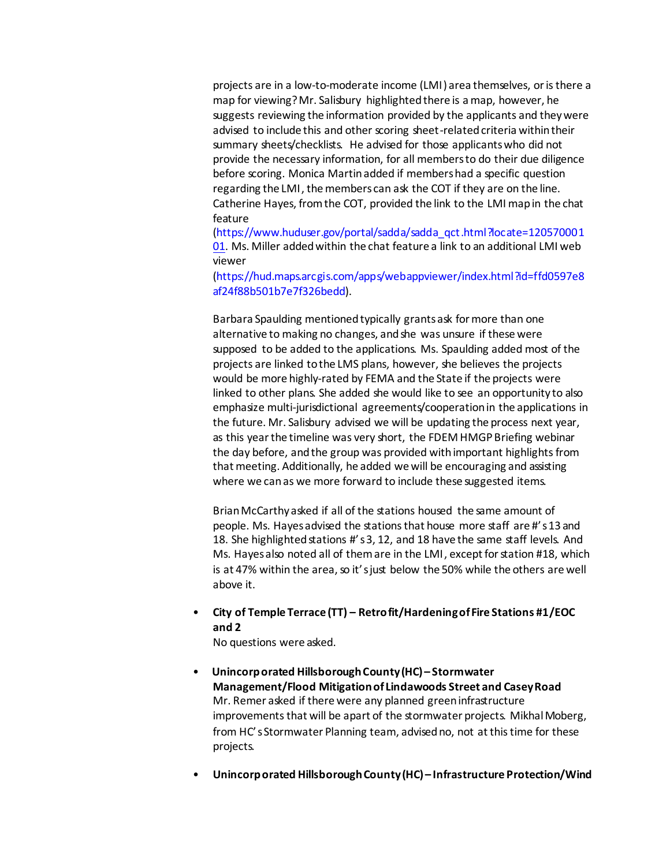projects are in a low-to-moderate income (LMI) area themselves, oristhere a map for viewing?Mr. Salisbury highlightedthere is a map, however, he suggests reviewing the information provided by the applicants and theywere advised to include this and other scoring sheet-relatedcriteria within their summary sheets/checklists. He advised for those applicants who did not provide the necessary information, for all members to do their due diligence before scoring. Monica Martinadded if members had a specific question regarding the LMI, the members can ask the COT if they are on the line. Catherine Hayes, from the COT, provided the link to the LMI mapin the chat featur[e](https://www.huduser.gov/portal/sadda/sadda_qct.html?locate=12057000101)

[\(https://www.huduser.gov/portal/sadda/sadda\\_qct.html?locate=120570001](https://www.huduser.gov/portal/sadda/sadda_qct.html?locate=12057000101) [01.](https://www.huduser.gov/portal/sadda/sadda_qct.html?locate=12057000101) Ms. Miller addedwithin the chat feature a link to an additional LMI web viewer

[\(https://hud.maps.arcgis.com/apps/webappviewer/index.html?id=ffd0597e8](https://hud.maps.arcgis.com/apps/webappviewer/index.html?id=ffd0597e8af24f88b501b7e7f326bedd) [af24f88b501b7e7f326bedd\).](https://hud.maps.arcgis.com/apps/webappviewer/index.html?id=ffd0597e8af24f88b501b7e7f326bedd)

Barbara Spaulding mentionedtypically grantsask formore than one alternative to making no changes, andshe was unsure if these were supposed to be added to the applications. Ms. Spaulding added most of the projects are linked tothe LMS plans, however, she believes the projects would be more highly-rated by FEMA and the State if the projects were linked to other plans. She added she would like to see an opportunity to also emphasize multi-jurisdictional agreements/cooperationin the applications in the future. Mr. Salisbury advised we will be updating the process next year, as this yearthe timeline was very short, the FDEM HMGPBriefing webinar the day before, and the group was provided with important highlights from that meeting. Additionally, he added we will be encouraging and assisting where we canas we more forward to include these suggested items.

BrianMcCarthy asked if all of the stations housed the same amount of people. Ms. Hayesadvised the stations that house more staff are #'s13 and 18. She highlighted stations #'s 3, 12, and 18 have the same staff levels. And Ms. Hayes also noted all of them are in the LMI, except for station #18, which is at 47% within the area, so it's just below the 50% while the others are well above it.

• **City of Temple Terrace (TT) – Retrofit/HardeningofFire Stations #1/EOC and 2**

No questions were asked.

- **Unincorporated HillsboroughCounty(HC)– Stormwater Management/Flood Mitigationof Lindawoods Street and CaseyRoad**  Mr. Remer asked if there were any planned greeninfrastructure improvements that will be apart of the stormwater projects. Mikhal Moberg, from HC's Stormwater Planning team, advised no, not at this time for these projects.
- **Unincorporated HillsboroughCounty(HC)– Infrastructure Protection/Wind**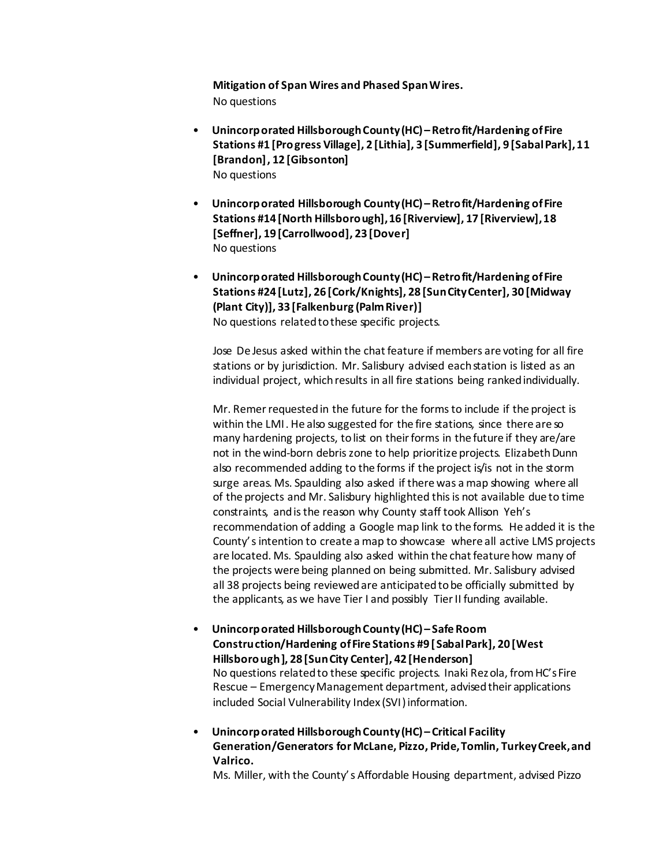**Mitigation of Span Wires and Phased SpanWires.** No questions

- **Unincorporated HillsboroughCounty(HC)– Retrofit/Hardening ofFire Stations #1 [Progress Village], 2 [Lithia], 3 [Summerfield], 9 [SabalPark],11 [Brandon], 12 [Gibsonton]** No questions
- **Unincorporated Hillsborough County(HC)– Retrofit/Hardening ofFire Stations #14 [North Hillsborough],16 [Riverview], 17 [Riverview],18 [Seffner], 19 [Carrollwood], 23 [Dover]** No questions
- **Unincorporated HillsboroughCounty(HC)– Retrofit/Hardening ofFire Stations #24 [Lutz], 26 [Cork/Knights], 28 [SunCityCenter], 30 [Midway (Plant City)], 33 [Falkenburg (PalmRiver)]** No questions related to these specific projects.

Jose De Jesus asked within the chat feature if members are voting for all fire stations or by jurisdiction. Mr. Salisbury advised eachstation is listed as an individual project, which results in all fire stations being ranked individually.

Mr. Remer requested in the future for the forms to include if the project is within the LMI. He also suggested for the fire stations, since there are so many hardening projects, to list on their forms in the future if they are/are not in the wind-born debris zone to help prioritize projects. Elizabeth Dunn also recommended adding to the forms if the project is/is not in the storm surge areas. Ms. Spaulding also asked if there was a map showing where all of the projects and Mr. Salisbury highlighted thisis not available due to time constraints, andisthe reason why County staff took Allison Yeh's recommendation of adding a Google map link to the forms. He added it is the County's intention to create a map to showcase where all active LMS projects are located. Ms. Spaulding also asked within the chat feature how many of the projects were being planned on being submitted. Mr. Salisbury advised all 38 projects being reviewedare anticipatedtobe officially submitted by the applicants, as we have Tier I and possibly Tier II funding available.

• **Unincorporated HillsboroughCounty(HC)– Safe Room Construction/Hardening ofFire Stations #9 [SabalPark], 20 [West Hillsborough], 28 [SunCity Center], 42 [Henderson]** No questions related to these specific projects. Inaki Rezola, from HC's Fire Rescue – Emergency Management department, advised their applications included Social Vulnerability Index (SVI) information.

• **Unincorporated HillsboroughCounty(HC)– Critical Facility Generation/Generators for McLane, Pizzo, Pride,Tomlin, TurkeyCreek,and Valrico.**

Ms. Miller, with the County's Affordable Housing department, advised Pizzo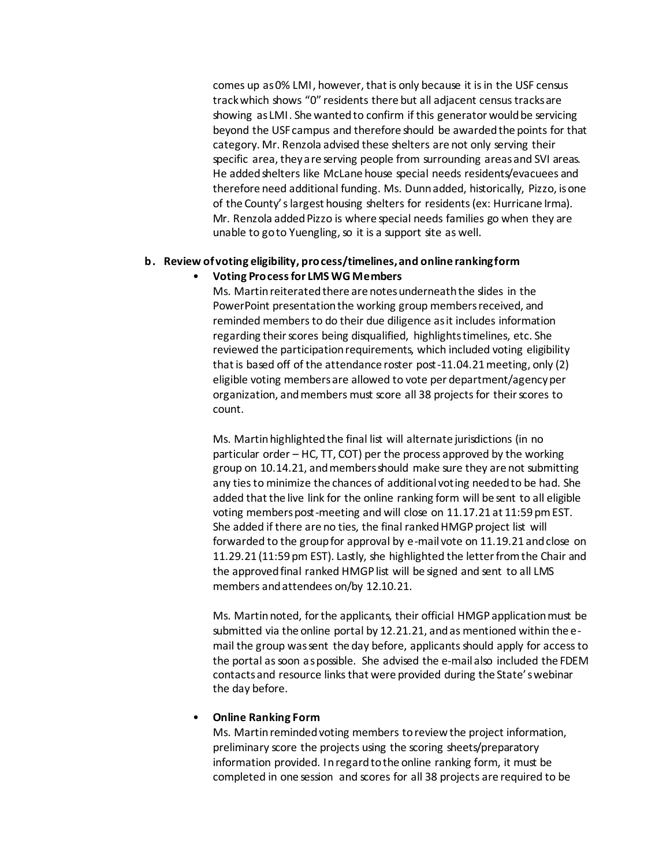comes up as0% LMI, however, thatis only because it isin the USF census trackwhich shows "0" residents there but all adjacent censustracksare showing as LMI. She wanted to confirm if this generator would be servicing beyond the USF campus and therefore should be awardedthe points for that category. Mr. Renzola advised these shelters are not only serving their specific area, they are serving people from surrounding areas and SVI areas. He added shelters like McLane house special needs residents/evacuees and therefore need additional funding. Ms. Dunnadded, historically, Pizzo, isone of the County'slargest housing shelters for residents(ex: Hurricane Irma). Mr. Renzola added Pizzo is where special needs families go when they are unable to goto Yuengling, so it is a support site as well.

# **b. Review ofvoting eligibility, process/timelines,and online rankingform**

# • **Voting Processfor LMS WG Members**

Ms. Martinreiteratedthere are notesunderneaththe slides in the PowerPoint presentation the working group members received, and reminded membersto do their due diligence asit includes information regarding their scores being disqualified, highlights timelines, etc. She reviewed the participation requirements, which included voting eligibility that is based off of the attendance roster post-11.04.21 meeting, only (2) eligible voting members are allowed to vote per department/agencyper organization, and members must score all 38 projects for their scores to count.

Ms. Martin highlighted the final list will alternate jurisdictions (in no particular order – HC, TT, COT) per the process approved by the working group on 10.14.21, and members should make sure they are not submitting any ties to minimize the chances of additional voting needed to be had. She added that the live link for the online ranking form will be sent to all eligible voting members post-meeting and will close on 11.17.21 at 11:59 pm EST. She added if there are no ties, the final ranked HMGP project list will forwarded to the group for approval by e-mail vote on 11.19.21 and close on 11.29.21 (11:59 pm EST). Lastly, she highlighted the letterfrom the Chair and the approved final ranked HMGP list will be signed and sent to all LMS members andattendees on/by 12.10.21.

Ms. Martin noted, for the applicants, their official HMGP application must be submitted via the online portal by 12.21.21, andas mentioned within the email the group was sent the day before, applicants should apply for access to the portal as soon as possible. She advised the e-mail also included the FDEM contactsand resource linksthat were provided during the State'swebinar the day before.

# • **Online Ranking Form**

Ms. Martinremindedvoting members toreviewthe project information, preliminary score the projects using the scoring sheets/preparatory information provided. Inregardtothe online ranking form, it must be completed in one session and scores for all 38 projects are required to be